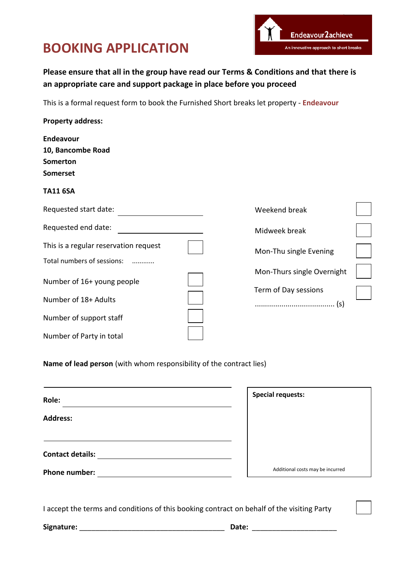## **BOOKING APPLICATION**



## **Please ensure that all in the group have read our Terms & Conditions and that there is an appropriate care and support package in place before you proceed**

This is a formal request form to book the Furnished Short breaks let property - **Endeavour**

| <b>Property address:</b>              |                            |  |
|---------------------------------------|----------------------------|--|
| <b>Endeavour</b>                      |                            |  |
| 10, Bancombe Road                     |                            |  |
| Somerton                              |                            |  |
| <b>Somerset</b>                       |                            |  |
| <b>TA11 6SA</b>                       |                            |  |
| Requested start date:                 | Weekend break              |  |
| Requested end date:                   | Midweek break              |  |
| This is a regular reservation request | Mon-Thu single Evening     |  |
| Total numbers of sessions:            |                            |  |
| Number of 16+ young people            | Mon-Thurs single Overnight |  |
|                                       | Term of Day sessions       |  |
| Number of 18+ Adults                  |                            |  |
| Number of support staff               |                            |  |
| Number of Party in total              |                            |  |

**Name of lead person** (with whom responsibility of the contract lies)

| Role:                   | <b>Special requests:</b>         |
|-------------------------|----------------------------------|
| <b>Address:</b>         |                                  |
| <b>Contact details:</b> |                                  |
| Phone number:           | Additional costs may be incurred |

I accept the terms and conditions of this booking contract on behalf of the visiting Party